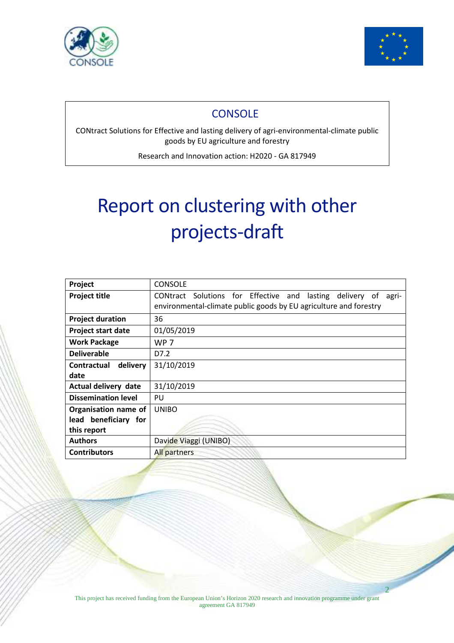

Ĭ



2

 $\overline{\phantom{a}}$ 

## **CONSOLE**

CONtract Solutions for Effective and lasting delivery of agri-environmental-climate public goods by EU agriculture and forestry

Research and Innovation action: H2020 - GA 817949

# Report on clustering with other projects-draft

| Project                    | <b>CONSOLE</b>                                                    |
|----------------------------|-------------------------------------------------------------------|
| <b>Project title</b>       | CONtract Solutions for Effective and lasting delivery of<br>agri- |
|                            | environmental-climate public goods by EU agriculture and forestry |
| <b>Project duration</b>    | 36                                                                |
| Project start date         | 01/05/2019                                                        |
| <b>Work Package</b>        | <b>WP 7</b>                                                       |
| <b>Deliverable</b>         | D7.2                                                              |
| delivery<br>Contractual    | 31/10/2019                                                        |
| date                       |                                                                   |
| Actual delivery date       | 31/10/2019                                                        |
| <b>Dissemination level</b> | PU                                                                |
| Organisation name of       | <b>UNIBO</b>                                                      |
| lead beneficiary for       |                                                                   |
| this report                |                                                                   |
| <b>Authors</b>             | Davide Viaggi (UNIBO)                                             |
| <b>Contributors</b>        | All partners                                                      |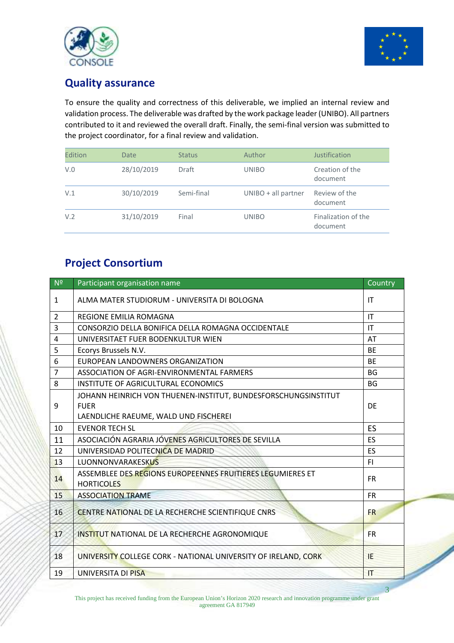



## **Quality assurance**

To ensure the quality and correctness of this deliverable, we implied an internal review and validation process. The deliverable was drafted by the work package leader (UNIBO). All partners contributed to it and reviewed the overall draft. Finally, the semi-final version was submitted to the project coordinator, for a final review and validation.

| Edition | <b>Date</b> | <b>Status</b> | Author                | Justification                   |
|---------|-------------|---------------|-----------------------|---------------------------------|
| V.0     | 28/10/2019  | Draft         | <b>UNIBO</b>          | Creation of the<br>document     |
| V.1     | 30/10/2019  | Semi-final    | $UNIBO + all partner$ | Review of the<br>document       |
| V.2     | 31/10/2019  | Final         | <b>UNIBO</b>          | Finalization of the<br>document |

# **Project Consortium**

| N <sup>2</sup> | Participant organisation name                                                                                          | Country                |
|----------------|------------------------------------------------------------------------------------------------------------------------|------------------------|
| $\mathbf{1}$   | ALMA MATER STUDIORUM - UNIVERSITA DI BOLOGNA                                                                           | T                      |
| $\overline{2}$ | REGIONE EMILIA ROMAGNA                                                                                                 | $\mathsf{I}\mathsf{T}$ |
| $\overline{3}$ | CONSORZIO DELLA BONIFICA DELLA ROMAGNA OCCIDENTALE                                                                     | IT                     |
| 4              | UNIVERSITAET FUER BODENKULTUR WIEN                                                                                     | AT                     |
| 5              | Ecorys Brussels N.V.                                                                                                   | <b>BE</b>              |
| 6              | EUROPEAN LANDOWNERS ORGANIZATION                                                                                       | <b>BE</b>              |
| $\overline{7}$ | ASSOCIATION OF AGRI-ENVIRONMENTAL FARMERS                                                                              | <b>BG</b>              |
| 8              | INSTITUTE OF AGRICULTURAL ECONOMICS                                                                                    | <b>BG</b>              |
| 9              | JOHANN HEINRICH VON THUENEN-INSTITUT, BUNDESFORSCHUNGSINSTITUT<br><b>FUER</b><br>LAENDLICHE RAEUME, WALD UND FISCHEREI | DE                     |
| 10             | <b>EVENOR TECH SL</b>                                                                                                  | <b>ES</b>              |
| 11             | ASOCIACIÓN AGRARIA JÓVENES AGRICULTORES DE SEVILLA                                                                     | <b>ES</b>              |
| 12             | UNIVERSIDAD POLITECNICA DE MADRID                                                                                      | <b>ES</b>              |
| 13             | LUONNONVARAKESKUS                                                                                                      | F1                     |
| 14             | ASSEMBLEE DES REGIONS EUROPEENNES FRUITIERES LEGUMIERES ET<br><b>HORTICOLES</b>                                        | <b>FR</b>              |
| 15             | <b>ASSOCIATION TRAME</b>                                                                                               | <b>FR</b>              |
| 16             | <b>CENTRE NATIONAL DE LA RECHERCHE SCIENTIFIQUE CNRS</b>                                                               | <b>FR</b>              |
| 17             | INSTITUT NATIONAL DE LA RECHERCHE AGRONOMIQUE                                                                          | <b>FR</b>              |
| 18             | UNIVERSITY COLLEGE CORK - NATIONAL UNIVERSITY OF IRELAND, CORK                                                         | IE                     |
| 19             | <b>UNIVERSITA DI PISA</b>                                                                                              | T                      |

This project has received funding from the European Union's Horizon 2020 research and innovation programme under grant agreement GA 817949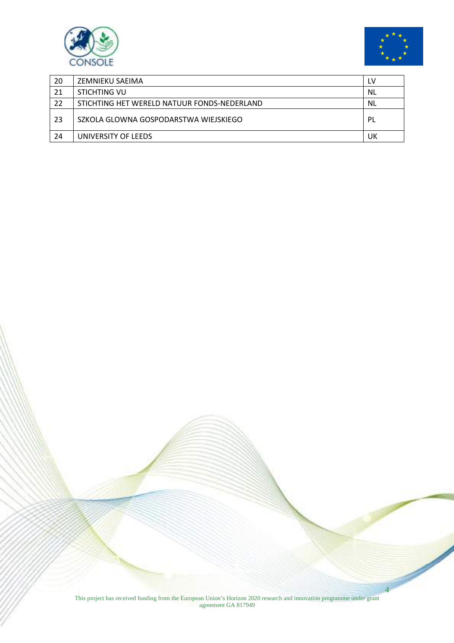



 $\overline{\phantom{a}}$ 

| 20 | ZEMNIEKU SAEIMA                             | LV        |
|----|---------------------------------------------|-----------|
| 21 | STICHTING VU                                | NL        |
| 22 | STICHTING HET WERELD NATUUR FONDS-NEDERLAND | <b>NL</b> |
| 23 | SZKOLA GLOWNA GOSPODARSTWA WIEJSKIEGO       | PL        |
| 24 | UNIVERSITY OF LEEDS                         | UK        |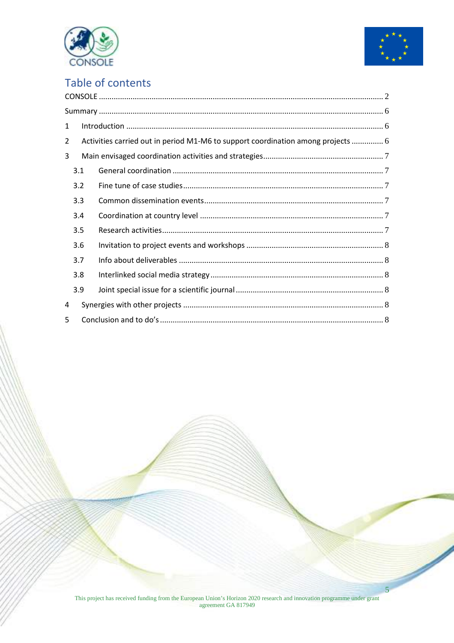



# Table of contents

| $\mathbf{1}$   |     |                                                                                  |  |  |  |  |  |
|----------------|-----|----------------------------------------------------------------------------------|--|--|--|--|--|
| $\overline{2}$ |     | Activities carried out in period M1-M6 to support coordination among projects  6 |  |  |  |  |  |
| 3              |     |                                                                                  |  |  |  |  |  |
| 3.1            |     |                                                                                  |  |  |  |  |  |
|                | 3.2 |                                                                                  |  |  |  |  |  |
|                | 3.3 |                                                                                  |  |  |  |  |  |
|                | 3.4 |                                                                                  |  |  |  |  |  |
|                | 3.5 |                                                                                  |  |  |  |  |  |
|                | 3.6 |                                                                                  |  |  |  |  |  |
|                | 3.7 |                                                                                  |  |  |  |  |  |
|                | 3.8 |                                                                                  |  |  |  |  |  |
|                | 3.9 |                                                                                  |  |  |  |  |  |
| 4              |     |                                                                                  |  |  |  |  |  |
| 5              |     |                                                                                  |  |  |  |  |  |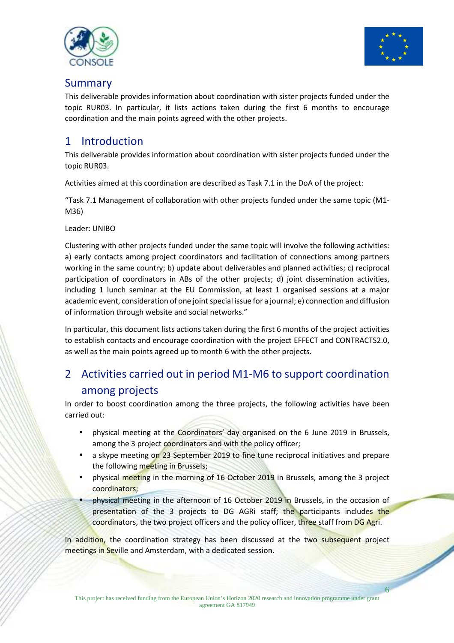



## Summary

This deliverable provides information about coordination with sister projects funded under the topic RUR03. In particular, it lists actions taken during the first 6 months to encourage coordination and the main points agreed with the other projects.

## 1 Introduction

This deliverable provides information about coordination with sister projects funded under the topic RUR03.

Activities aimed at this coordination are described as Task 7.1 in the DoA of the project:

"Task 7.1 Management of collaboration with other projects funded under the same topic (M1- M36)

Leader: UNIBO

Clustering with other projects funded under the same topic will involve the following activities: a) early contacts among project coordinators and facilitation of connections among partners working in the same country; b) update about deliverables and planned activities; c) reciprocal participation of coordinators in ABs of the other projects; d) joint dissemination activities, including 1 lunch seminar at the EU Commission, at least 1 organised sessions at a major academic event, consideration of one joint special issue for a journal; e) connection and diffusion of information through website and social networks."

In particular, this document lists actions taken during the first 6 months of the project activities to establish contacts and encourage coordination with the project EFFECT and CONTRACTS2.0, as well as the main points agreed up to month 6 with the other projects.

# 2 Activities carried out in period M1-M6 to support coordination among projects

In order to boost coordination among the three projects, the following activities have been carried out:

- physical meeting at the Coordinators' day organised on the 6 June 2019 in Brussels, among the 3 project coordinators and with the policy officer;
- a skype meeting on 23 September 2019 to fine tune reciprocal initiatives and prepare the following meeting in Brussels;
- physical meeting in the morning of 16 October 2019 in Brussels, among the 3 project coordinators;
- physical meeting in the afternoon of 16 October 2019 in Brussels, in the occasion of presentation of the 3 projects to DG AGRi staff; the participants includes the coordinators, the two project officers and the policy officer, three staff from DG Agri.

6 In addition, the coordination strategy has been discussed at the two subsequent project meetings in Seville and Amsterdam, with a dedicated session.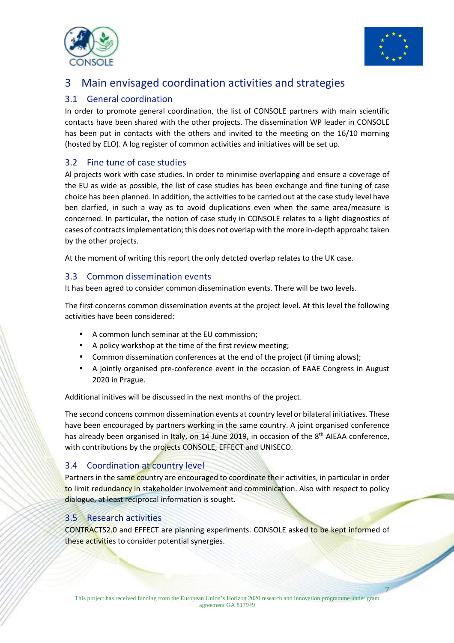



## 3 Main envisaged coordination activities and strategies

#### 3.1 General coordination

In order to promote general coordination, the list of CONSOLE partners with main scientific contacts have been shared with the other projects. The dissemination WP leader in CONSOLE has been put in contacts with the others and invited to the meeting on the 16/10 morning (hosted by ELO). A log register of common activities and initiatives will be set up.

#### 3.2 Fine tune of case studies

Al projects work with case studies. In order to minimise overlapping and ensure a coverage of the EU as wide as possible, the list of case studies has been exchange and fine tuning of case choice has been planned. In addition, the activities to be carried out at the case study level have ben clarfied, in such a way as to avoid duplications even when the same area/measure is concerned. In particular, the notion of case study in CONSOLE relates to a light diagnostics of cases of contracts implementation; this does not overlap with the more in-depth approahc taken by the other projects.

At the moment of writing this report the only detcted overlap relates to the UK case.

#### 3.3 Common dissemination events

It has been agred to consider common dissemination events. There will be two levels.

The first concerns common dissemination events at the project level. At this level the following activities have been considered:

- A common lunch seminar at the EU commission;
- A policy workshop at the time of the first review meeting;
- Common dissemination conferences at the end of the project (if timing alows);
- A jointly organised pre-conference event in the occasion of EAAE Congress in August 2020 in Prague.

Additional initives will be discussed in the next months of the project.

The second concens common dissemination events at country level or bilateral initiatives. These have been encouraged by partners working in the same country. A joint organised conference has already been organised in Italy, on 14 June 2019, in occasion of the 8<sup>th</sup> AIEAA conference, with contributions by the projects CONSOLE, EFFECT and UNISECO.

#### 3.4 Coordination at country level

Partners in the same country are encouraged to coordinate their activities, in particular in order to limit redundancy in stakeholder involvement and comminication. Also with respect to policy dialogue, at least reciprocal information is sought.

#### 3.5 Research activities

CONTRACTS2.0 and EFFECT are planning experiments. CONSOLE asked to be kept informed of these activities to consider potential synergies.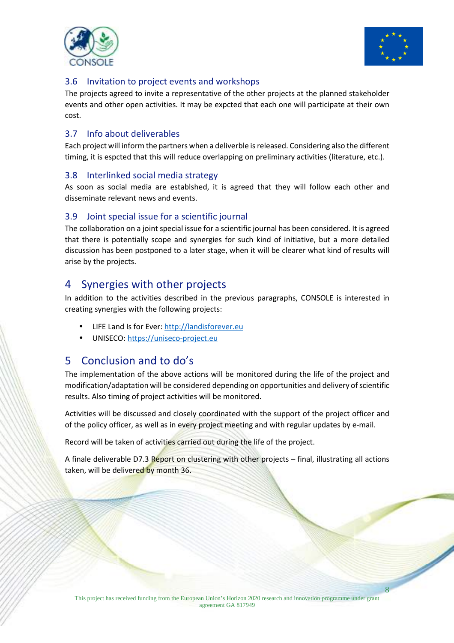



#### 3.6 Invitation to project events and workshops

The projects agreed to invite a representative of the other projects at the planned stakeholder events and other open activities. It may be expcted that each one will participate at their own cost.

#### 3.7 Info about deliverables

Each project will inform the partners when a deliverble is released. Considering also the different timing, it is espcted that this will reduce overlapping on preliminary activities (literature, etc.).

#### 3.8 Interlinked social media strategy

As soon as social media are establshed, it is agreed that they will follow each other and disseminate relevant news and events.

#### 3.9 Joint special issue for a scientific journal

The collaboration on a joint special issue for a scientific journal has been considered. It is agreed that there is potentially scope and synergies for such kind of initiative, but a more detailed discussion has been postponed to a later stage, when it will be clearer what kind of results will arise by the projects.

## 4 Synergies with other projects

In addition to the activities described in the previous paragraphs, CONSOLE is interested in creating synergies with the following projects:

- LIFE Land Is for Ever: http://landisforever.eu
- UNISECO: https://uniseco-project.eu

## 5 Conclusion and to do's

The implementation of the above actions will be monitored during the life of the project and modification/adaptation will be considered depending on opportunities and delivery of scientific results. Also timing of project activities will be monitored.

Activities will be discussed and closely coordinated with the support of the project officer and of the policy officer, as well as in every project meeting and with regular updates by e-mail.

Record will be taken of activities carried out during the life of the project.

A finale deliverable D7.3 Report on clustering with other projects - final, illustrating all actions taken, will be delivered by month 36.